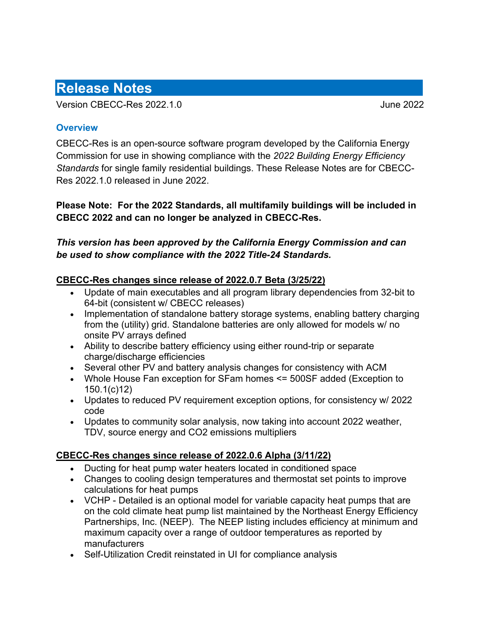# **Release Notes**

Version CBECC-Res 2022.1.0 June 2022

#### **Overview**

CBECC-Res is an open-source software program developed by the California Energy Commission for use in showing compliance with the *2022 Building Energy Efficiency Standards* for single family residential buildings. These Release Notes are for CBECC-Res 2022.1.0 released in June 2022.

**Please Note: For the 2022 Standards, all multifamily buildings will be included in CBECC 2022 and can no longer be analyzed in CBECC-Res.** 

## *This version has been approved by the California Energy Commission and can be used to show compliance with the 2022 Title-24 Standards.*

### **CBECC-Res changes since release of 2022.0.7 Beta (3/25/22)**

- Update of main executables and all program library dependencies from 32-bit to 64-bit (consistent w/ CBECC releases)
- Implementation of standalone battery storage systems, enabling battery charging from the (utility) grid. Standalone batteries are only allowed for models w/ no onsite PV arrays defined
- Ability to describe battery efficiency using either round-trip or separate charge/discharge efficiencies
- Several other PV and battery analysis changes for consistency with ACM
- Whole House Fan exception for SFam homes <= 500SF added (Exception to 150.1(c)12)
- Updates to reduced PV requirement exception options, for consistency w/ 2022 code
- Updates to community solar analysis, now taking into account 2022 weather, TDV, source energy and CO2 emissions multipliers

### **CBECC-Res changes since release of 2022.0.6 Alpha (3/11/22)**

- Ducting for heat pump water heaters located in conditioned space
- Changes to cooling design temperatures and thermostat set points to improve calculations for heat pumps
- VCHP Detailed is an optional model for variable capacity heat pumps that are on the cold climate heat pump list maintained by the Northeast Energy Efficiency Partnerships, Inc. (NEEP). The NEEP listing includes efficiency at minimum and maximum capacity over a range of outdoor temperatures as reported by manufacturers
- Self-Utilization Credit reinstated in UI for compliance analysis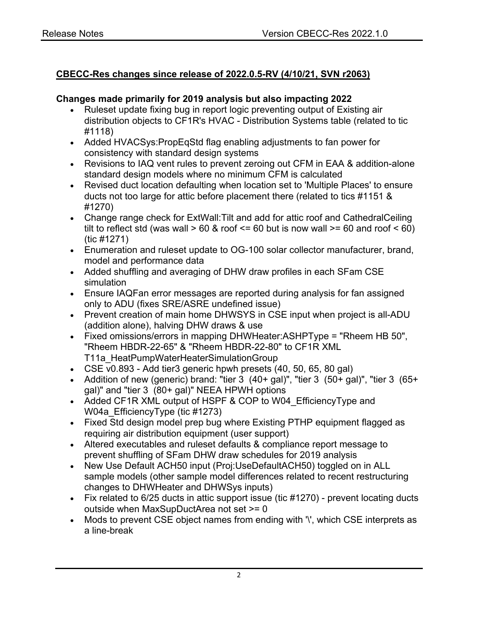## **CBECC-Res changes since release of 2022.0.5-RV (4/10/21, SVN r2063)**

#### **Changes made primarily for 2019 analysis but also impacting 2022**

- Ruleset update fixing bug in report logic preventing output of Existing air distribution objects to CF1R's HVAC - Distribution Systems table (related to tic #1118)
- Added HVACSys:PropEqStd flag enabling adjustments to fan power for consistency with standard design systems
- Revisions to IAQ vent rules to prevent zeroing out CFM in EAA & addition-alone standard design models where no minimum CFM is calculated
- Revised duct location defaulting when location set to 'Multiple Places' to ensure ducts not too large for attic before placement there (related to tics #1151 & #1270)
- Change range check for ExtWall:Tilt and add for attic roof and CathedralCeiling tilt to reflect std (was wall  $> 60$  & roof  $\leq 60$  but is now wall  $\geq 60$  and roof  $\leq 60$ ) (tic #1271)
- Enumeration and ruleset update to OG-100 solar collector manufacturer, brand, model and performance data
- Added shuffling and averaging of DHW draw profiles in each SFam CSE simulation
- Ensure IAQFan error messages are reported during analysis for fan assigned only to ADU (fixes SRE/ASRE undefined issue)
- Prevent creation of main home DHWSYS in CSE input when project is all-ADU (addition alone), halving DHW draws & use
- Fixed omissions/errors in mapping DHWHeater:ASHPType = "Rheem HB 50", "Rheem HBDR-22-65" & "Rheem HBDR-22-80" to CF1R XML T11a\_HeatPumpWaterHeaterSimulationGroup
- CSE v0.893 Add tier3 generic hpwh presets (40, 50, 65, 80 gal)
- Addition of new (generic) brand: "tier  $3$  (40+ gal)", "tier 3 (50+ gal)", "tier 3 (65+ gal)" and "tier 3 (80+ gal)" NEEA HPWH options
- Added CF1R XML output of HSPF & COP to W04 EfficiencyType and W04a EfficiencyType (tic #1273)
- Fixed Std design model prep bug where Existing PTHP equipment flagged as requiring air distribution equipment (user support)
- Altered executables and ruleset defaults & compliance report message to prevent shuffling of SFam DHW draw schedules for 2019 analysis
- New Use Default ACH50 input (Proj:UseDefaultACH50) toggled on in ALL sample models (other sample model differences related to recent restructuring changes to DHWHeater and DHWSys inputs)
- Fix related to 6/25 ducts in attic support issue (tic #1270) prevent locating ducts outside when MaxSupDuctArea not set >= 0
- Mods to prevent CSE object names from ending with '\', which CSE interprets as a line-break